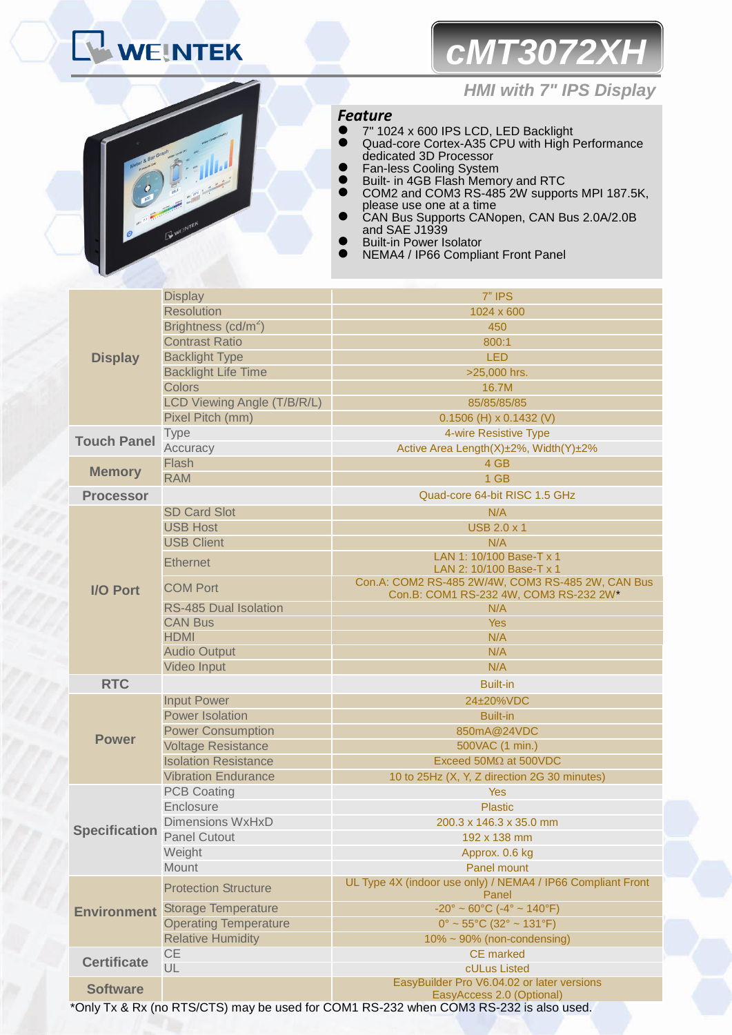# *cMT3072XH*



## *HMI with 7" IPS Display*

## *Feature*

- 7" 1024 x 600 IPS LCD, LED Backlight
- Quad-core Cortex-A35 CPU with High Performance dedicated 3D Processor
- **•** Fan-less Cooling System
- **Built- in 4GB Flash Memory and RTC**
- COM2 and COM3 RS-485<sup>2</sup>W supports MPI 187.5K, please use one at a time
- CAN Bus Supports CANopen, CAN Bus 2.0A/2.0B and SAE J1939
- **•** Built-in Power Isolator
- NEMA4 / IP66 Compliant Front Panel

| <b>Resolution</b><br>1024 x 600<br>Brightness (cd/m <sup>2</sup> )<br>450<br><b>Contrast Ratio</b><br>800:1<br><b>Backlight Type</b><br><b>LED</b><br><b>Display</b><br><b>Backlight Life Time</b><br>>25,000 hrs.<br><b>Colors</b><br>16.7M<br>LCD Viewing Angle (T/B/R/L)<br>85/85/85/85<br>Pixel Pitch (mm)<br>$0.1506$ (H) x $0.1432$ (V)<br><b>Type</b><br>4-wire Resistive Type<br><b>Touch Panel</b><br>Accuracy<br>Active Area Length(X)±2%, Width(Y)±2%<br>Flash<br>4 GB<br><b>Memory</b><br><b>RAM</b><br>1 GB<br>Quad-core 64-bit RISC 1.5 GHz<br><b>Processor</b><br><b>SD Card Slot</b><br>N/A<br><b>USB Host</b><br><b>USB 2.0 x 1</b><br><b>USB Client</b><br>N/A<br>LAN 1: 10/100 Base-T x 1<br><b>Ethernet</b><br>LAN 2: 10/100 Base-T x 1<br>Con.A: COM2 RS-485 2W/4W, COM3 RS-485 2W, CAN Bus<br><b>COM Port</b><br><b>I/O Port</b><br>Con.B: COM1 RS-232 4W, COM3 RS-232 2W*<br><b>RS-485 Dual Isolation</b><br>N/A<br><b>CAN Bus</b><br><b>Yes</b><br><b>HDMI</b><br>N/A<br><b>Audio Output</b><br>N/A<br>Video Input<br>N/A<br><b>RTC</b><br><b>Built-in</b><br><b>Input Power</b><br>24±20%VDC<br><b>Power Isolation</b><br><b>Built-in</b><br><b>Power Consumption</b><br>850mA@24VDC<br><b>Power</b><br><b>Voltage Resistance</b><br>500VAC (1 min.)<br><b>Isolation Resistance</b><br>Exceed $50M\Omega$ at $500VDC$<br><b>Vibration Endurance</b><br>10 to 25Hz (X, Y, Z direction 2G 30 minutes)<br><b>PCB Coating</b><br>Yes<br>Enclosure<br><b>Plastic</b><br><b>Dimensions WxHxD</b><br>200.3 x 146.3 x 35.0 mm<br><b>Panel Cutout</b><br>192 x 138 mm<br>Weight<br>Approx. 0.6 kg<br>Mount<br>Panel mount<br>UL Type 4X (indoor use only) / NEMA4 / IP66 Compliant Front<br><b>Protection Structure</b><br>Panel<br>$-20^{\circ} \sim 60^{\circ}$ C (-4° ~ 140°F)<br><b>Environment</b> Storage Temperature<br><b>Operating Temperature</b><br>$0^{\circ}$ ~ 55°C (32° ~ 131°F)<br><b>Relative Humidity</b><br>$10\% \sim 90\%$ (non-condensing)<br>CE<br><b>CE</b> marked<br><b>Certificate</b><br>UL<br>cULus Listed<br>EasyBuilder Pro V6.04.02 or later versions<br><b>Software</b> |                      | <b>Display</b> | 7" IPS                    |
|-------------------------------------------------------------------------------------------------------------------------------------------------------------------------------------------------------------------------------------------------------------------------------------------------------------------------------------------------------------------------------------------------------------------------------------------------------------------------------------------------------------------------------------------------------------------------------------------------------------------------------------------------------------------------------------------------------------------------------------------------------------------------------------------------------------------------------------------------------------------------------------------------------------------------------------------------------------------------------------------------------------------------------------------------------------------------------------------------------------------------------------------------------------------------------------------------------------------------------------------------------------------------------------------------------------------------------------------------------------------------------------------------------------------------------------------------------------------------------------------------------------------------------------------------------------------------------------------------------------------------------------------------------------------------------------------------------------------------------------------------------------------------------------------------------------------------------------------------------------------------------------------------------------------------------------------------------------------------------------------------------------------------------------------------------------------------------------------------------------------------|----------------------|----------------|---------------------------|
|                                                                                                                                                                                                                                                                                                                                                                                                                                                                                                                                                                                                                                                                                                                                                                                                                                                                                                                                                                                                                                                                                                                                                                                                                                                                                                                                                                                                                                                                                                                                                                                                                                                                                                                                                                                                                                                                                                                                                                                                                                                                                                                         |                      |                |                           |
|                                                                                                                                                                                                                                                                                                                                                                                                                                                                                                                                                                                                                                                                                                                                                                                                                                                                                                                                                                                                                                                                                                                                                                                                                                                                                                                                                                                                                                                                                                                                                                                                                                                                                                                                                                                                                                                                                                                                                                                                                                                                                                                         |                      |                |                           |
|                                                                                                                                                                                                                                                                                                                                                                                                                                                                                                                                                                                                                                                                                                                                                                                                                                                                                                                                                                                                                                                                                                                                                                                                                                                                                                                                                                                                                                                                                                                                                                                                                                                                                                                                                                                                                                                                                                                                                                                                                                                                                                                         |                      |                |                           |
|                                                                                                                                                                                                                                                                                                                                                                                                                                                                                                                                                                                                                                                                                                                                                                                                                                                                                                                                                                                                                                                                                                                                                                                                                                                                                                                                                                                                                                                                                                                                                                                                                                                                                                                                                                                                                                                                                                                                                                                                                                                                                                                         |                      |                |                           |
|                                                                                                                                                                                                                                                                                                                                                                                                                                                                                                                                                                                                                                                                                                                                                                                                                                                                                                                                                                                                                                                                                                                                                                                                                                                                                                                                                                                                                                                                                                                                                                                                                                                                                                                                                                                                                                                                                                                                                                                                                                                                                                                         |                      |                |                           |
|                                                                                                                                                                                                                                                                                                                                                                                                                                                                                                                                                                                                                                                                                                                                                                                                                                                                                                                                                                                                                                                                                                                                                                                                                                                                                                                                                                                                                                                                                                                                                                                                                                                                                                                                                                                                                                                                                                                                                                                                                                                                                                                         |                      |                |                           |
|                                                                                                                                                                                                                                                                                                                                                                                                                                                                                                                                                                                                                                                                                                                                                                                                                                                                                                                                                                                                                                                                                                                                                                                                                                                                                                                                                                                                                                                                                                                                                                                                                                                                                                                                                                                                                                                                                                                                                                                                                                                                                                                         |                      |                |                           |
|                                                                                                                                                                                                                                                                                                                                                                                                                                                                                                                                                                                                                                                                                                                                                                                                                                                                                                                                                                                                                                                                                                                                                                                                                                                                                                                                                                                                                                                                                                                                                                                                                                                                                                                                                                                                                                                                                                                                                                                                                                                                                                                         |                      |                |                           |
|                                                                                                                                                                                                                                                                                                                                                                                                                                                                                                                                                                                                                                                                                                                                                                                                                                                                                                                                                                                                                                                                                                                                                                                                                                                                                                                                                                                                                                                                                                                                                                                                                                                                                                                                                                                                                                                                                                                                                                                                                                                                                                                         |                      |                |                           |
|                                                                                                                                                                                                                                                                                                                                                                                                                                                                                                                                                                                                                                                                                                                                                                                                                                                                                                                                                                                                                                                                                                                                                                                                                                                                                                                                                                                                                                                                                                                                                                                                                                                                                                                                                                                                                                                                                                                                                                                                                                                                                                                         |                      |                |                           |
|                                                                                                                                                                                                                                                                                                                                                                                                                                                                                                                                                                                                                                                                                                                                                                                                                                                                                                                                                                                                                                                                                                                                                                                                                                                                                                                                                                                                                                                                                                                                                                                                                                                                                                                                                                                                                                                                                                                                                                                                                                                                                                                         |                      |                |                           |
|                                                                                                                                                                                                                                                                                                                                                                                                                                                                                                                                                                                                                                                                                                                                                                                                                                                                                                                                                                                                                                                                                                                                                                                                                                                                                                                                                                                                                                                                                                                                                                                                                                                                                                                                                                                                                                                                                                                                                                                                                                                                                                                         |                      |                |                           |
|                                                                                                                                                                                                                                                                                                                                                                                                                                                                                                                                                                                                                                                                                                                                                                                                                                                                                                                                                                                                                                                                                                                                                                                                                                                                                                                                                                                                                                                                                                                                                                                                                                                                                                                                                                                                                                                                                                                                                                                                                                                                                                                         |                      |                |                           |
|                                                                                                                                                                                                                                                                                                                                                                                                                                                                                                                                                                                                                                                                                                                                                                                                                                                                                                                                                                                                                                                                                                                                                                                                                                                                                                                                                                                                                                                                                                                                                                                                                                                                                                                                                                                                                                                                                                                                                                                                                                                                                                                         |                      |                |                           |
|                                                                                                                                                                                                                                                                                                                                                                                                                                                                                                                                                                                                                                                                                                                                                                                                                                                                                                                                                                                                                                                                                                                                                                                                                                                                                                                                                                                                                                                                                                                                                                                                                                                                                                                                                                                                                                                                                                                                                                                                                                                                                                                         |                      |                |                           |
|                                                                                                                                                                                                                                                                                                                                                                                                                                                                                                                                                                                                                                                                                                                                                                                                                                                                                                                                                                                                                                                                                                                                                                                                                                                                                                                                                                                                                                                                                                                                                                                                                                                                                                                                                                                                                                                                                                                                                                                                                                                                                                                         |                      |                |                           |
|                                                                                                                                                                                                                                                                                                                                                                                                                                                                                                                                                                                                                                                                                                                                                                                                                                                                                                                                                                                                                                                                                                                                                                                                                                                                                                                                                                                                                                                                                                                                                                                                                                                                                                                                                                                                                                                                                                                                                                                                                                                                                                                         |                      |                |                           |
|                                                                                                                                                                                                                                                                                                                                                                                                                                                                                                                                                                                                                                                                                                                                                                                                                                                                                                                                                                                                                                                                                                                                                                                                                                                                                                                                                                                                                                                                                                                                                                                                                                                                                                                                                                                                                                                                                                                                                                                                                                                                                                                         |                      |                |                           |
|                                                                                                                                                                                                                                                                                                                                                                                                                                                                                                                                                                                                                                                                                                                                                                                                                                                                                                                                                                                                                                                                                                                                                                                                                                                                                                                                                                                                                                                                                                                                                                                                                                                                                                                                                                                                                                                                                                                                                                                                                                                                                                                         |                      |                |                           |
|                                                                                                                                                                                                                                                                                                                                                                                                                                                                                                                                                                                                                                                                                                                                                                                                                                                                                                                                                                                                                                                                                                                                                                                                                                                                                                                                                                                                                                                                                                                                                                                                                                                                                                                                                                                                                                                                                                                                                                                                                                                                                                                         |                      |                |                           |
|                                                                                                                                                                                                                                                                                                                                                                                                                                                                                                                                                                                                                                                                                                                                                                                                                                                                                                                                                                                                                                                                                                                                                                                                                                                                                                                                                                                                                                                                                                                                                                                                                                                                                                                                                                                                                                                                                                                                                                                                                                                                                                                         |                      |                |                           |
|                                                                                                                                                                                                                                                                                                                                                                                                                                                                                                                                                                                                                                                                                                                                                                                                                                                                                                                                                                                                                                                                                                                                                                                                                                                                                                                                                                                                                                                                                                                                                                                                                                                                                                                                                                                                                                                                                                                                                                                                                                                                                                                         |                      |                |                           |
|                                                                                                                                                                                                                                                                                                                                                                                                                                                                                                                                                                                                                                                                                                                                                                                                                                                                                                                                                                                                                                                                                                                                                                                                                                                                                                                                                                                                                                                                                                                                                                                                                                                                                                                                                                                                                                                                                                                                                                                                                                                                                                                         |                      |                |                           |
|                                                                                                                                                                                                                                                                                                                                                                                                                                                                                                                                                                                                                                                                                                                                                                                                                                                                                                                                                                                                                                                                                                                                                                                                                                                                                                                                                                                                                                                                                                                                                                                                                                                                                                                                                                                                                                                                                                                                                                                                                                                                                                                         |                      |                |                           |
|                                                                                                                                                                                                                                                                                                                                                                                                                                                                                                                                                                                                                                                                                                                                                                                                                                                                                                                                                                                                                                                                                                                                                                                                                                                                                                                                                                                                                                                                                                                                                                                                                                                                                                                                                                                                                                                                                                                                                                                                                                                                                                                         |                      |                |                           |
|                                                                                                                                                                                                                                                                                                                                                                                                                                                                                                                                                                                                                                                                                                                                                                                                                                                                                                                                                                                                                                                                                                                                                                                                                                                                                                                                                                                                                                                                                                                                                                                                                                                                                                                                                                                                                                                                                                                                                                                                                                                                                                                         |                      |                |                           |
|                                                                                                                                                                                                                                                                                                                                                                                                                                                                                                                                                                                                                                                                                                                                                                                                                                                                                                                                                                                                                                                                                                                                                                                                                                                                                                                                                                                                                                                                                                                                                                                                                                                                                                                                                                                                                                                                                                                                                                                                                                                                                                                         |                      |                |                           |
|                                                                                                                                                                                                                                                                                                                                                                                                                                                                                                                                                                                                                                                                                                                                                                                                                                                                                                                                                                                                                                                                                                                                                                                                                                                                                                                                                                                                                                                                                                                                                                                                                                                                                                                                                                                                                                                                                                                                                                                                                                                                                                                         |                      |                |                           |
|                                                                                                                                                                                                                                                                                                                                                                                                                                                                                                                                                                                                                                                                                                                                                                                                                                                                                                                                                                                                                                                                                                                                                                                                                                                                                                                                                                                                                                                                                                                                                                                                                                                                                                                                                                                                                                                                                                                                                                                                                                                                                                                         |                      |                |                           |
|                                                                                                                                                                                                                                                                                                                                                                                                                                                                                                                                                                                                                                                                                                                                                                                                                                                                                                                                                                                                                                                                                                                                                                                                                                                                                                                                                                                                                                                                                                                                                                                                                                                                                                                                                                                                                                                                                                                                                                                                                                                                                                                         |                      |                |                           |
|                                                                                                                                                                                                                                                                                                                                                                                                                                                                                                                                                                                                                                                                                                                                                                                                                                                                                                                                                                                                                                                                                                                                                                                                                                                                                                                                                                                                                                                                                                                                                                                                                                                                                                                                                                                                                                                                                                                                                                                                                                                                                                                         |                      |                |                           |
|                                                                                                                                                                                                                                                                                                                                                                                                                                                                                                                                                                                                                                                                                                                                                                                                                                                                                                                                                                                                                                                                                                                                                                                                                                                                                                                                                                                                                                                                                                                                                                                                                                                                                                                                                                                                                                                                                                                                                                                                                                                                                                                         | <b>Specification</b> |                |                           |
|                                                                                                                                                                                                                                                                                                                                                                                                                                                                                                                                                                                                                                                                                                                                                                                                                                                                                                                                                                                                                                                                                                                                                                                                                                                                                                                                                                                                                                                                                                                                                                                                                                                                                                                                                                                                                                                                                                                                                                                                                                                                                                                         |                      |                |                           |
|                                                                                                                                                                                                                                                                                                                                                                                                                                                                                                                                                                                                                                                                                                                                                                                                                                                                                                                                                                                                                                                                                                                                                                                                                                                                                                                                                                                                                                                                                                                                                                                                                                                                                                                                                                                                                                                                                                                                                                                                                                                                                                                         |                      |                |                           |
|                                                                                                                                                                                                                                                                                                                                                                                                                                                                                                                                                                                                                                                                                                                                                                                                                                                                                                                                                                                                                                                                                                                                                                                                                                                                                                                                                                                                                                                                                                                                                                                                                                                                                                                                                                                                                                                                                                                                                                                                                                                                                                                         |                      |                |                           |
|                                                                                                                                                                                                                                                                                                                                                                                                                                                                                                                                                                                                                                                                                                                                                                                                                                                                                                                                                                                                                                                                                                                                                                                                                                                                                                                                                                                                                                                                                                                                                                                                                                                                                                                                                                                                                                                                                                                                                                                                                                                                                                                         |                      |                |                           |
|                                                                                                                                                                                                                                                                                                                                                                                                                                                                                                                                                                                                                                                                                                                                                                                                                                                                                                                                                                                                                                                                                                                                                                                                                                                                                                                                                                                                                                                                                                                                                                                                                                                                                                                                                                                                                                                                                                                                                                                                                                                                                                                         |                      |                |                           |
|                                                                                                                                                                                                                                                                                                                                                                                                                                                                                                                                                                                                                                                                                                                                                                                                                                                                                                                                                                                                                                                                                                                                                                                                                                                                                                                                                                                                                                                                                                                                                                                                                                                                                                                                                                                                                                                                                                                                                                                                                                                                                                                         |                      |                |                           |
|                                                                                                                                                                                                                                                                                                                                                                                                                                                                                                                                                                                                                                                                                                                                                                                                                                                                                                                                                                                                                                                                                                                                                                                                                                                                                                                                                                                                                                                                                                                                                                                                                                                                                                                                                                                                                                                                                                                                                                                                                                                                                                                         |                      |                |                           |
|                                                                                                                                                                                                                                                                                                                                                                                                                                                                                                                                                                                                                                                                                                                                                                                                                                                                                                                                                                                                                                                                                                                                                                                                                                                                                                                                                                                                                                                                                                                                                                                                                                                                                                                                                                                                                                                                                                                                                                                                                                                                                                                         |                      |                |                           |
|                                                                                                                                                                                                                                                                                                                                                                                                                                                                                                                                                                                                                                                                                                                                                                                                                                                                                                                                                                                                                                                                                                                                                                                                                                                                                                                                                                                                                                                                                                                                                                                                                                                                                                                                                                                                                                                                                                                                                                                                                                                                                                                         |                      |                |                           |
|                                                                                                                                                                                                                                                                                                                                                                                                                                                                                                                                                                                                                                                                                                                                                                                                                                                                                                                                                                                                                                                                                                                                                                                                                                                                                                                                                                                                                                                                                                                                                                                                                                                                                                                                                                                                                                                                                                                                                                                                                                                                                                                         |                      |                |                           |
|                                                                                                                                                                                                                                                                                                                                                                                                                                                                                                                                                                                                                                                                                                                                                                                                                                                                                                                                                                                                                                                                                                                                                                                                                                                                                                                                                                                                                                                                                                                                                                                                                                                                                                                                                                                                                                                                                                                                                                                                                                                                                                                         |                      |                |                           |
|                                                                                                                                                                                                                                                                                                                                                                                                                                                                                                                                                                                                                                                                                                                                                                                                                                                                                                                                                                                                                                                                                                                                                                                                                                                                                                                                                                                                                                                                                                                                                                                                                                                                                                                                                                                                                                                                                                                                                                                                                                                                                                                         |                      |                |                           |
| *Only Ty & Dy (no DTS/CTS) may be used for COM1 DS 222 when COM2 DS 222 is also used                                                                                                                                                                                                                                                                                                                                                                                                                                                                                                                                                                                                                                                                                                                                                                                                                                                                                                                                                                                                                                                                                                                                                                                                                                                                                                                                                                                                                                                                                                                                                                                                                                                                                                                                                                                                                                                                                                                                                                                                                                    |                      |                | EasyAccess 2.0 (Optional) |

Only Tx & Rx (no RTS/CTS) may be used for COM1 RS-232 when COM3 RS-232 is also used.